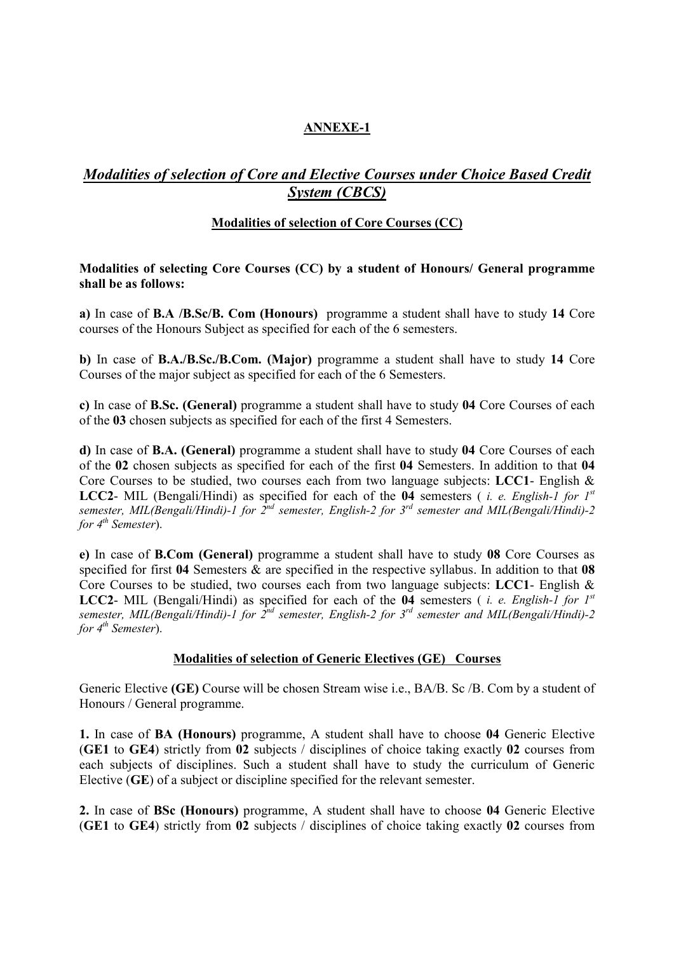## ANNEXE-1

# *Modalities of selection of Core and Elective Courses under Choice Based Credit System (CBCS)*

## Modalities of selection of Core Courses (CC)

### Modalities of selecting Core Courses (CC) by a student of Honours/ General programme shall be as follows:

a) In case of B.A /B.Sc/B. Com (Honours) programme a student shall have to study 14 Core courses of the Honours Subject as specified for each of the 6 semesters.

b) In case of B.A./B.Sc./B.Com. (Major) programme a student shall have to study 14 Core Courses of the major subject as specified for each of the 6 Semesters.

c) In case of B.Sc. (General) programme a student shall have to study 04 Core Courses of each of the 03 chosen subjects as specified for each of the first 4 Semesters.

d) In case of B.A. (General) programme a student shall have to study 04 Core Courses of each of the 02 chosen subjects as specified for each of the first 04 Semesters. In addition to that 04 Core Courses to be studied, two courses each from two language subjects: LCC1- English & LCC2- MIL (Bengali/Hindi) as specified for each of the 04 semesters ( *i. e. English-1 for 1st semester, MIL(Bengali/Hindi)-1 for 2nd semester, English-2 for 3rd semester and MIL(Bengali/Hindi)-2 for 4th Semester*).

e) In case of B.Com (General) programme a student shall have to study 08 Core Courses as specified for first 04 Semesters & are specified in the respective syllabus. In addition to that 08 Core Courses to be studied, two courses each from two language subjects: LCC1- English  $\&$ LCC2- MIL (Bengali/Hindi) as specified for each of the 04 semesters ( *i. e. English-1 for 1st semester, MIL(Bengali/Hindi)-1 for 2nd semester, English-2 for 3rd semester and MIL(Bengali/Hindi)-2 for 4th Semester*).

### Modalities of selection of Generic Electives (GE) Courses

Generic Elective (GE) Course will be chosen Stream wise i.e., BA/B. Sc /B. Com by a student of Honours / General programme.

1. In case of BA (Honours) programme, A student shall have to choose 04 Generic Elective (GE1 to GE4) strictly from 02 subjects / disciplines of choice taking exactly 02 courses from each subjects of disciplines. Such a student shall have to study the curriculum of Generic Elective (GE) of a subject or discipline specified for the relevant semester.

2. In case of BSc (Honours) programme, A student shall have to choose 04 Generic Elective (GE1 to GE4) strictly from 02 subjects / disciplines of choice taking exactly 02 courses from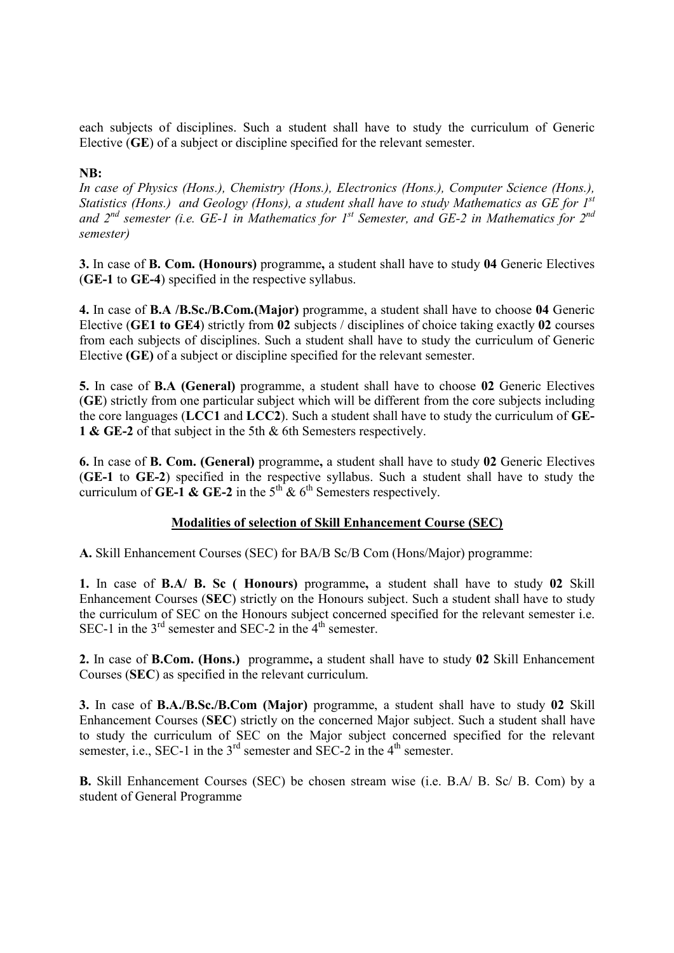each subjects of disciplines. Such a student shall have to study the curriculum of Generic Elective (GE) of a subject or discipline specified for the relevant semester.

### NB:

*In case of Physics (Hons.), Chemistry (Hons.), Electronics (Hons.), Computer Science (Hons.), Statistics (Hons.) and Geology (Hons), a student shall have to study Mathematics as GE for 1st and 2nd semester (i.e. GE-1 in Mathematics for 1st Semester, and GE-2 in Mathematics for 2nd semester)*

3. In case of B. Com. (Honours) programme, a student shall have to study 04 Generic Electives (GE-1 to GE-4) specified in the respective syllabus.

4. In case of B.A /B.Sc./B.Com.(Major) programme, a student shall have to choose 04 Generic Elective (GE1 to GE4) strictly from 02 subjects / disciplines of choice taking exactly 02 courses from each subjects of disciplines. Such a student shall have to study the curriculum of Generic Elective (GE) of a subject or discipline specified for the relevant semester.

5. In case of B.A (General) programme, a student shall have to choose 02 Generic Electives (GE) strictly from one particular subject which will be different from the core subjects including the core languages (LCC1 and LCC2). Such a student shall have to study the curriculum of GE-1 & GE-2 of that subject in the 5th & 6th Semesters respectively.

6. In case of B. Com. (General) programme, a student shall have to study 02 Generic Electives (GE-1 to GE-2) specified in the respective syllabus. Such a student shall have to study the curriculum of  $\overrightarrow{GE-1}$  &  $\overrightarrow{GE-2}$  in the  $5^{\text{th}}$  &  $6^{\text{th}}$  Semesters respectively.

## Modalities of selection of Skill Enhancement Course (SEC)

A. Skill Enhancement Courses (SEC) for BA/B Sc/B Com (Hons/Major) programme:

1. In case of B.A/ B. Sc ( Honours) programme, a student shall have to study 02 Skill Enhancement Courses (SEC) strictly on the Honours subject. Such a student shall have to study the curriculum of SEC on the Honours subject concerned specified for the relevant semester i.e. SEC-1 in the  $3<sup>rd</sup>$  semester and SEC-2 in the  $4<sup>th</sup>$  semester.

2. In case of B.Com. (Hons.) programme, a student shall have to study 02 Skill Enhancement Courses (SEC) as specified in the relevant curriculum.

3. In case of B.A./B.Sc./B.Com (Major) programme, a student shall have to study 02 Skill Enhancement Courses (SEC) strictly on the concerned Major subject. Such a student shall have to study the curriculum of SEC on the Major subject concerned specified for the relevant semester, i.e., SEC-1 in the  $3<sup>rd</sup>$  semester and SEC-2 in the  $4<sup>th</sup>$  semester.

B. Skill Enhancement Courses (SEC) be chosen stream wise (i.e. B.A/ B. Sc/ B. Com) by a student of General Programme